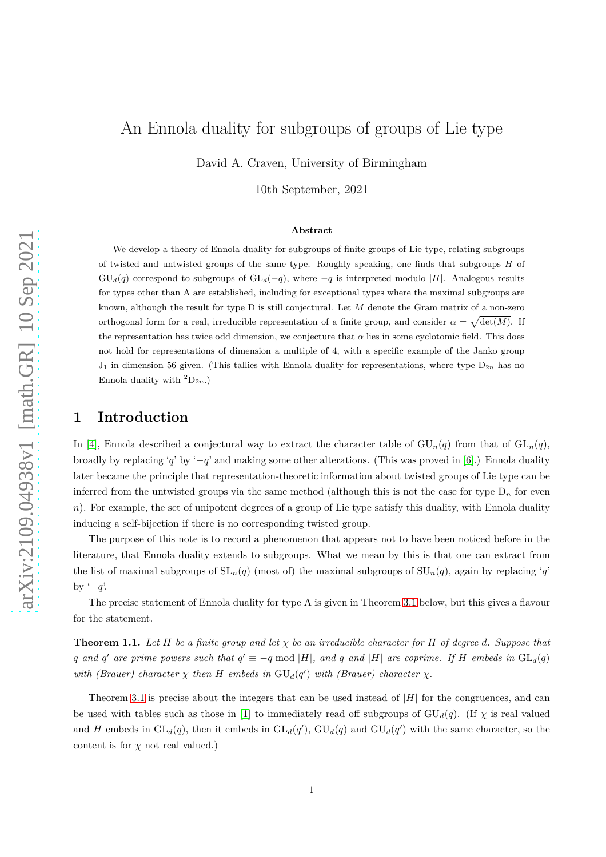# An Ennola duality for subgroups of groups of Lie type

David A. Craven, University of Birmingham

10th September, 2021

#### **Abstract**

We develop a theory of Ennola duality for subgroups of finite groups of Lie type, relating subgroups of twisted and untwisted groups of the same type. Roughly speaking, one finds that subgroups *H* of  $GU<sub>d</sub>(q)$  correspond to subgroups of  $GL<sub>d</sub>(-q)$ , where  $-q$  is interpreted modulo |*H*|. Analogous results for types other than A are established, including for exceptional types where the maximal subgroups are known, although the result for type D is still conjectural. Let *M* denote the Gram matrix of a non-zero orthogonal form for a real, irreducible representation of a finite group, and consider  $\alpha = \sqrt{\det(M)}$ . If the representation has twice odd dimension, we conjecture that  $\alpha$  lies in some cyclotomic field. This does not hold for representations of dimension a multiple of 4, with a specific example of the Janko group  $J_1$  in dimension 56 given. (This tallies with Ennola duality for representations, where type  $D_{2n}$  has no Ennola duality with  ${}^2D_{2n}$ .)

#### **1 Introduction**

In [\[4\]](#page-12-0), Ennola described a conjectural way to extract the character table of  $GU_n(q)$  from that of  $GL_n(q)$ , broadly by replacing '*q*' by '−*q*' and making some other alterations. (This was proved in [\[6\]](#page-12-1).) Ennola duality later became the principle that representation-theoretic information about twisted groups of Lie type can be inferred from the untwisted groups via the same method (although this is not the case for type  $D_n$  for even *n*). For example, the set of unipotent degrees of a group of Lie type satisfy this duality, with Ennola duality inducing a self-bijection if there is no corresponding twisted group.

The purpose of this note is to record a phenomenon that appears not to have been noticed before in the literature, that Ennola duality extends to subgroups. What we mean by this is that one can extract from the list of maximal subgroups of  $SL_n(q)$  (most of) the maximal subgroups of  $SU_n(q)$ , again by replacing '*q*' by '−*q*'.

The precise statement of Ennola duality for type A is given in Theorem [3.1](#page-4-0) below, but this gives a flavour for the statement.

**Theorem 1.1.** Let  $H$  be a finite group and let  $\chi$  be an irreducible character for  $H$  of degree  $d$ . Suppose that *q* and *q*<sup>'</sup> are prime powers such that  $q' \equiv -q \mod |H|$ , and *q* and |*H*| are coprime. If *H* embeds in  $GL_d(q)$ *with (Brauer) character*  $\chi$  *then H embeds in*  $GU_d(q')$  *with (Brauer) character*  $\chi$ *.* 

Theorem [3.1](#page-4-0) is precise about the integers that can be used instead of |*H*| for the congruences, and can be used with tables such as those in [\[1\]](#page-10-0) to immediately read off subgroups of  $GU_d(q)$ . (If  $\chi$  is real valued and *H* embeds in  $GL_d(q)$ , then it embeds in  $GL_d(q')$ ,  $GU_d(q)$  and  $GU_d(q')$  with the same character, so the content is for  $\chi$  not real valued.)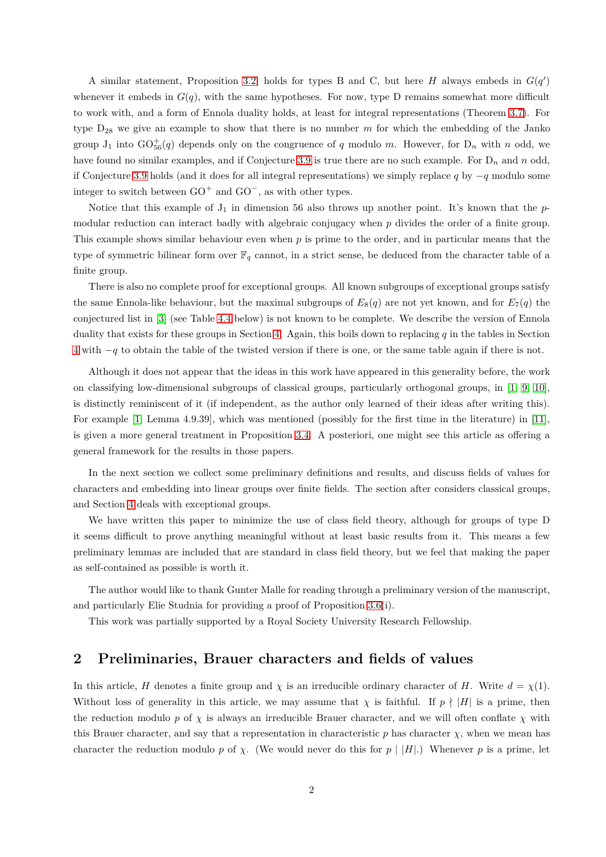A similar statement, Proposition [3.2,](#page-5-0) holds for types B and C, but here *H* always embeds in  $G(q')$ whenever it embeds in  $G(q)$ , with the same hypotheses. For now, type D remains somewhat more difficult to work with, and a form of Ennola duality holds, at least for integral representations (Theorem [3.7\)](#page-8-0). For type D<sup>28</sup> we give an example to show that there is no number *m* for which the embedding of the Janko group  $J_1$  into  $GO_{56}^+(q)$  depends only on the congruence of *q* modulo *m*. However, for  $D_n$  with *n* odd, we have found no similar examples, and if Conjecture [3.9](#page-9-0) is true there are no such example. For D*<sup>n</sup>* and *n* odd, if Conjecture [3.9](#page-9-0) holds (and it does for all integral representations) we simply replace *q* by −*q* modulo some integer to switch between  $GO^+$  and  $GO^-$ , as with other types.

Notice that this example of  $J_1$  in dimension 56 also throws up another point. It's known that the  $p$ modular reduction can interact badly with algebraic conjugacy when *p* divides the order of a finite group. This example shows similar behaviour even when *p* is prime to the order, and in particular means that the type of symmetric bilinear form over  $\mathbb{F}_q$  cannot, in a strict sense, be deduced from the character table of a finite group.

There is also no complete proof for exceptional groups. All known subgroups of exceptional groups satisfy the same Ennola-like behaviour, but the maximal subgroups of  $E_8(q)$  are not yet known, and for  $E_7(q)$  the conjectured list in [\[3\]](#page-12-2) (see Table [4.4](#page-11-0) below) is not known to be complete. We describe the version of Ennola duality that exists for these groups in Section [4.](#page-9-1) Again, this boils down to replacing *q* in the tables in Section [4](#page-9-1) with −*q* to obtain the table of the twisted version if there is one, or the same table again if there is not.

Although it does not appear that the ideas in this work have appeared in this generality before, the work on classifying low-dimensional subgroups of classical groups, particularly orthogonal groups, in [\[1,](#page-10-0) [9,](#page-12-3) [10\]](#page-12-4), is distinctly reminiscent of it (if independent, as the author only learned of their ideas after writing this). For example [\[1,](#page-10-0) Lemma 4.9.39], which was mentioned (possibly for the first time in the literature) in [\[11\]](#page-12-5), is given a more general treatment in Proposition [3.4.](#page-6-0) A posteriori, one might see this article as offering a general framework for the results in those papers.

In the next section we collect some preliminary definitions and results, and discuss fields of values for characters and embedding into linear groups over finite fields. The section after considers classical groups, and Section [4](#page-9-1) deals with exceptional groups.

We have written this paper to minimize the use of class field theory, although for groups of type D it seems difficult to prove anything meaningful without at least basic results from it. This means a few preliminary lemmas are included that are standard in class field theory, but we feel that making the paper as self-contained as possible is worth it.

The author would like to thank Gunter Malle for reading through a preliminary version of the manuscript, and particularly Elie Studnia for providing a proof of Proposition [3.6\(](#page-7-0)i).

This work was partially supported by a Royal Society University Research Fellowship.

## **2 Preliminaries, Brauer characters and fields of values**

In this article, *H* denotes a finite group and  $\chi$  is an irreducible ordinary character of *H*. Write  $d = \chi(1)$ . Without loss of generality in this article, we may assume that  $\chi$  is faithful. If  $p \nmid |H|$  is a prime, then the reduction modulo *p* of  $\chi$  is always an irreducible Brauer character, and we will often conflate  $\chi$  with this Brauer character, and say that a representation in characteristic  $p$  has character  $\chi$ , when we mean has character the reduction modulo *p* of *χ*. (We would never do this for  $p \mid |H|$ .) Whenever *p* is a prime, let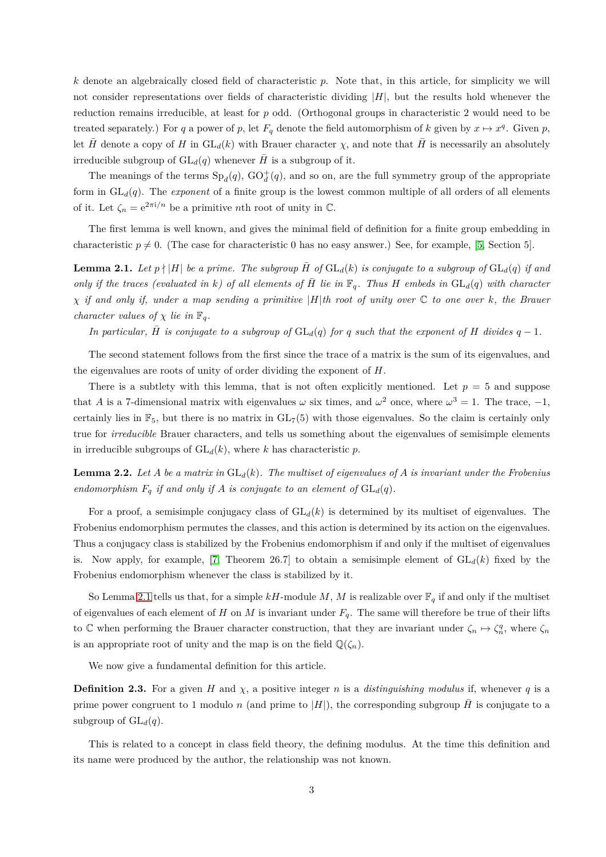*k* denote an algebraically closed field of characteristic *p*. Note that, in this article, for simplicity we will not consider representations over fields of characteristic dividing |*H*|, but the results hold whenever the reduction remains irreducible, at least for *p* odd. (Orthogonal groups in characteristic 2 would need to be treated separately.) For *q* a power of *p*, let  $F_q$  denote the field automorphism of *k* given by  $x \mapsto x^q$ . Given *p*, let  $\bar{H}$  denote a copy of *H* in  $GL_d(k)$  with Brauer character  $\chi$ , and note that  $\bar{H}$  is necessarily an absolutely irreducible subgroup of  $GL_d(q)$  whenever  $\overline{H}$  is a subgroup of it.

The meanings of the terms  $Sp_d(q)$ ,  $GO_d^+(q)$ , and so on, are the full symmetry group of the appropriate form in  $GL_d(q)$ . The *exponent* of a finite group is the lowest common multiple of all orders of all elements of it. Let  $\zeta_n = e^{2\pi i/n}$  be a primitive *n*th root of unity in  $\mathbb{C}$ .

The first lemma is well known, and gives the minimal field of definition for a finite group embedding in characteristic  $p \neq 0$ . (The case for characteristic 0 has no easy answer.) See, for example, [\[5,](#page-12-6) Section 5].

<span id="page-2-0"></span>**Lemma 2.1.** Let  $p \nmid |H|$  be a prime. The subgroup  $\overline{H}$  of  $GL_d(k)$  is conjugate to a subgroup of  $GL_d(q)$  if and *only if the traces (evaluated in k*) of all elements of  $\overline{H}$  lie in  $\mathbb{F}_q$ . Thus  $H$  embeds in  $GL_d(q)$  with character *χ if and only if, under a map sending a primitive* |*H*|*th root of unity over* C *to one over k, the Brauer character values of*  $\chi$  *lie in*  $\mathbb{F}_q$ *.* 

*In particular,*  $\overline{H}$  *is conjugate to a subgroup of*  $GL_d(q)$  *for q such that the exponent of H divides*  $q-1$ *.* 

The second statement follows from the first since the trace of a matrix is the sum of its eigenvalues, and the eigenvalues are roots of unity of order dividing the exponent of *H*.

There is a subtlety with this lemma, that is not often explicitly mentioned. Let  $p = 5$  and suppose that *A* is a 7-dimensional matrix with eigenvalues  $\omega$  six times, and  $\omega^2$  once, where  $\omega^3 = 1$ . The trace,  $-1$ , certainly lies in  $\mathbb{F}_5$ , but there is no matrix in  $GL_7(5)$  with those eigenvalues. So the claim is certainly only true for *irreducible* Brauer characters, and tells us something about the eigenvalues of semisimple elements in irreducible subgroups of  $GL_d(k)$ , where *k* has characteristic *p*.

<span id="page-2-1"></span>**Lemma 2.2.** Let *A* be a matrix in  $GL_d(k)$ . The multiset of eigenvalues of *A* is invariant under the Frobenius *endomorphism*  $F_q$  *if and only if*  $A$  *is conjugate to an element of*  $GL_d(q)$ *.* 

For a proof, a semisimple conjugacy class of  $GL_d(k)$  is determined by its multiset of eigenvalues. The Frobenius endomorphism permutes the classes, and this action is determined by its action on the eigenvalues. Thus a conjugacy class is stabilized by the Frobenius endomorphism if and only if the multiset of eigenvalues is. Now apply, for example, [\[7,](#page-12-7) Theorem 26.7] to obtain a semisimple element of  $GL_d(k)$  fixed by the Frobenius endomorphism whenever the class is stabilized by it.

So Lemma [2.1](#page-2-0) tells us that, for a simple  $kH$ -module M, M is realizable over  $\mathbb{F}_q$  if and only if the multiset of eigenvalues of each element of *H* on *M* is invariant under  $F_q$ . The same will therefore be true of their lifts to C when performing the Brauer character construction, that they are invariant under  $\zeta_n \mapsto \zeta_n^q$ , where  $\zeta_n$ is an appropriate root of unity and the map is on the field  $\mathbb{Q}(\zeta_n)$ .

We now give a fundamental definition for this article.

**Definition 2.3.** For a given *H* and  $\chi$ , a positive integer *n* is a *distinguishing modulus* if, whenever *q* is a prime power congruent to 1 modulo *n* (and prime to  $|H|$ ), the corresponding subgroup  $\bar{H}$  is conjugate to a subgroup of  $GL_d(q)$ .

This is related to a concept in class field theory, the defining modulus. At the time this definition and its name were produced by the author, the relationship was not known.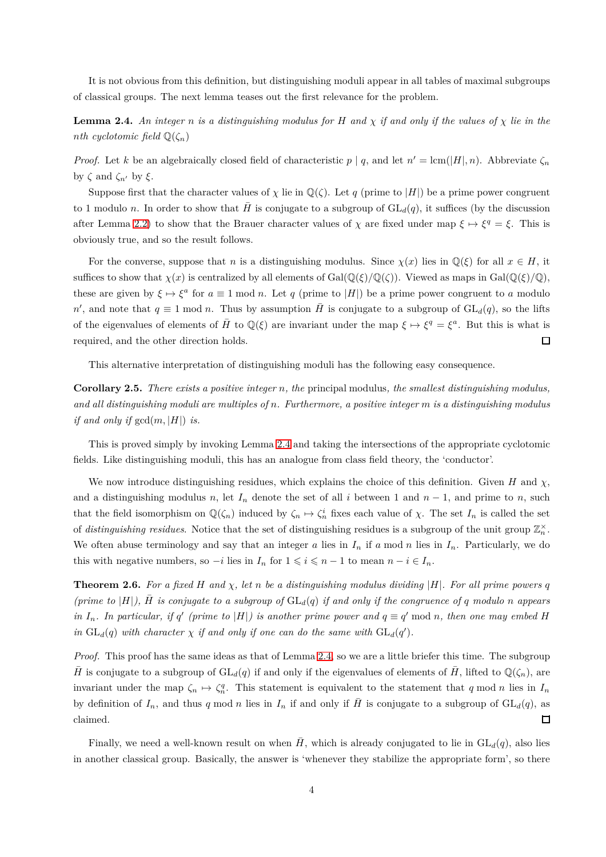It is not obvious from this definition, but distinguishing moduli appear in all tables of maximal subgroups of classical groups. The next lemma teases out the first relevance for the problem.

<span id="page-3-0"></span>**Lemma 2.4.** An integer *n* is a distinguishing modulus for H and  $\chi$  if and only if the values of  $\chi$  lie in the *nth cyclotomic field*  $\mathbb{Q}(\zeta_n)$ 

*Proof.* Let *k* be an algebraically closed field of characteristic  $p | q$ , and let  $n' = \text{lcm}(|H|, n)$ . Abbreviate  $\zeta_n$ by *ζ* and *ζn*′ by *ξ*.

Suppose first that the character values of  $\chi$  lie in  $\mathbb{Q}(\zeta)$ . Let *q* (prime to |*H*|) be a prime power congruent to 1 modulo *n*. In order to show that *H* is conjugate to a subgroup of  $GL_d(q)$ , it suffices (by the discussion after Lemma [2.2\)](#page-2-1) to show that the Brauer character values of  $\chi$  are fixed under map  $\xi \mapsto \xi^q = \xi$ . This is obviously true, and so the result follows.

For the converse, suppose that *n* is a distinguishing modulus. Since  $\chi(x)$  lies in  $\mathbb{Q}(\xi)$  for all  $x \in H$ , it suffices to show that  $\chi(x)$  is centralized by all elements of Gal( $\mathbb{Q}(\xi)/\mathbb{Q}(\zeta)$ ). Viewed as maps in Gal( $\mathbb{Q}(\xi)/\mathbb{Q}$ ), these are given by  $\xi \mapsto \xi^a$  for  $a \equiv 1 \mod n$ . Let *q* (prime to |*H*|) be a prime power congruent to *a* modulo  $n'$ , and note that  $q \equiv 1 \mod n$ . Thus by assumption  $\overline{H}$  is conjugate to a subgroup of  $GL_d(q)$ , so the lifts of the eigenvalues of elements of  $\overline{H}$  to  $\mathbb{Q}(\xi)$  are invariant under the map  $\xi \mapsto \xi^q = \xi^a$ . But this is what is  $\Box$ required, and the other direction holds.

This alternative interpretation of distinguishing moduli has the following easy consequence.

**Corollary 2.5.** *There exists a positive integer n, the* principal modulus*, the smallest distinguishing modulus, and all distinguishing moduli are multiples of n. Furthermore, a positive integer m is a distinguishing modulus if and only if*  $gcd(m, |H|)$  *is.* 

This is proved simply by invoking Lemma [2.4](#page-3-0) and taking the intersections of the appropriate cyclotomic fields. Like distinguishing moduli, this has an analogue from class field theory, the 'conductor'.

We now introduce distinguishing residues, which explains the choice of this definition. Given *H* and  $\chi$ , and a distinguishing modulus *n*, let  $I_n$  denote the set of all *i* between 1 and  $n-1$ , and prime to *n*, such that the field isomorphism on  $\mathbb{Q}(\zeta_n)$  induced by  $\zeta_n \mapsto \zeta_n^i$  fixes each value of  $\chi$ . The set  $I_n$  is called the set of *distinguishing residues*. Notice that the set of distinguishing residues is a subgroup of the unit group  $\mathbb{Z}_n^{\times}$ . We often abuse terminology and say that an integer *a* lies in  $I_n$  if *a* mod *n* lies in  $I_n$ . Particularly, we do this with negative numbers, so  $-i$  lies in  $I_n$  for  $1 \leq i \leq n-1$  to mean  $n-i \in I_n$ .

**Theorem 2.6.** For a fixed H and  $\chi$ , let n be a distinguishing modulus dividing  $|H|$ . For all prime powers q *(prime to*  $|H|$ ),  $\overline{H}$  *is conjugate to a subgroup of*  $GL_d(q)$  *if and only if the congruence of q modulo n appears in*  $I_n$ . In particular, if *q*<sup> $\prime$ </sup> (prime to |H|) is another prime power and  $q \equiv q' \mod n$ , then one may embed H *in*  $GL_d(q)$  *with character*  $\chi$  *if and only if one can do the same with*  $GL_d(q')$ *.* 

*Proof.* This proof has the same ideas as that of Lemma [2.4,](#page-3-0) so we are a little briefer this time. The subgroup *H* is conjugate to a subgroup of  $GL_d(q)$  if and only if the eigenvalues of elements of  $\tilde{H}$ , lifted to  $\mathbb{Q}(\zeta_n)$ , are invariant under the map  $\zeta_n \mapsto \zeta_n^q$ . This statement is equivalent to the statement that *q* mod *n* lies in  $I_n$ by definition of  $I_n$ , and thus q mod n lies in  $I_n$  if and only if  $\overline{H}$  is conjugate to a subgroup of  $GL_d(q)$ , as claimed.  $\Box$ 

Finally, we need a well-known result on when  $\bar{H}$ , which is already conjugated to lie in  $GL_d(q)$ , also lies in another classical group. Basically, the answer is 'whenever they stabilize the appropriate form', so there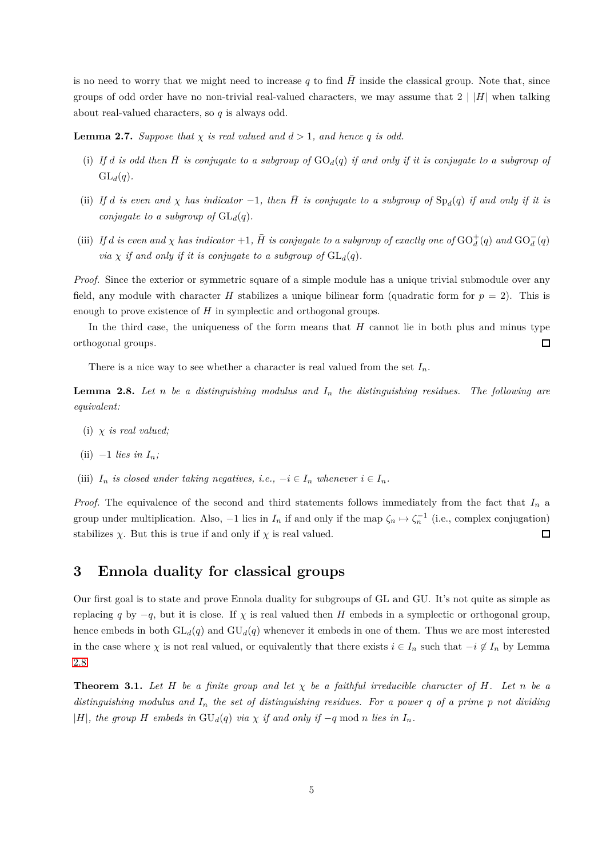is no need to worry that we might need to increase  $q$  to find  $H$  inside the classical group. Note that, since groups of odd order have no non-trivial real-valued characters, we may assume that  $2 \mid |H|$  when talking about real-valued characters, so *q* is always odd.

<span id="page-4-2"></span>**Lemma 2.7.** *Suppose that*  $\chi$  *is real valued and*  $d > 1$ *, and hence q is odd.* 

- (i) If *d* is odd then  $\overline{H}$  is conjugate to a subgroup of  $GO_d(q)$  if and only if it is conjugate to a subgroup of  $GL_d(q)$ .
- (ii) If *d* is even and  $\chi$  has indicator -1, then  $\overline{H}$  is conjugate to a subgroup of  $Sp_d(q)$  if and only if it is *conjugate to a subgroup of*  $GL_d(q)$ *.*
- (iii) If *d* is even and  $\chi$  has indicator +1,  $\bar{H}$  is conjugate to a subgroup of exactly one of  $\mathrm{GO}_d^+(q)$  and  $\mathrm{GO}_d^-(q)$ *via*  $\chi$  *if and only if it is conjugate to a subgroup of*  $GL_d(q)$ *.*

*Proof.* Since the exterior or symmetric square of a simple module has a unique trivial submodule over any field, any module with character *H* stabilizes a unique bilinear form (quadratic form for  $p = 2$ ). This is enough to prove existence of *H* in symplectic and orthogonal groups.

In the third case, the uniqueness of the form means that *H* cannot lie in both plus and minus type orthogonal groups.  $\Box$ 

There is a nice way to see whether a character is real valued from the set  $I_n$ .

<span id="page-4-1"></span>**Lemma 2.8.** Let *n* be a distinguishing modulus and  $I_n$  the distinguishing residues. The following are *equivalent:*

(i) *χ is real valued;*

(ii) 
$$
-1
$$
 lies in  $I_n$ ;

(iii)  $I_n$  *is closed under taking negatives, i.e.,*  $-i \in I_n$  *whenever*  $i \in I_n$ *.* 

*Proof.* The equivalence of the second and third statements follows immediately from the fact that *I<sup>n</sup>* a group under multiplication. Also,  $-1$  lies in  $I_n$  if and only if the map  $\zeta_n \mapsto \zeta_n^{-1}$  (i.e., complex conjugation) stabilizes  $\chi$ . But this is true if and only if  $\chi$  is real valued.  $\Box$ 

### **3 Ennola duality for classical groups**

Our first goal is to state and prove Ennola duality for subgroups of GL and GU. It's not quite as simple as replacing *q* by  $-q$ , but it is close. If  $\chi$  is real valued then *H* embeds in a symplectic or orthogonal group, hence embeds in both  $GL_d(q)$  and  $GU_d(q)$  whenever it embeds in one of them. Thus we are most interested in the case where  $\chi$  is not real valued, or equivalently that there exists  $i \in I_n$  such that  $-i \notin I_n$  by Lemma [2.8.](#page-4-1)

<span id="page-4-0"></span>**Theorem 3.1.** Let  $H$  be a finite group and let  $\chi$  be a faithful irreducible character of  $H$ *.* Let  $n$  be a *distinguishing modulus and I<sup>n</sup> the set of distinguishing residues. For a power q of a prime p not dividing* |*H*|*, the group H embeds in*  $GU_d(q)$  *via*  $\chi$  *if and only if* −*q* mod *n lies in*  $I_n$ *.*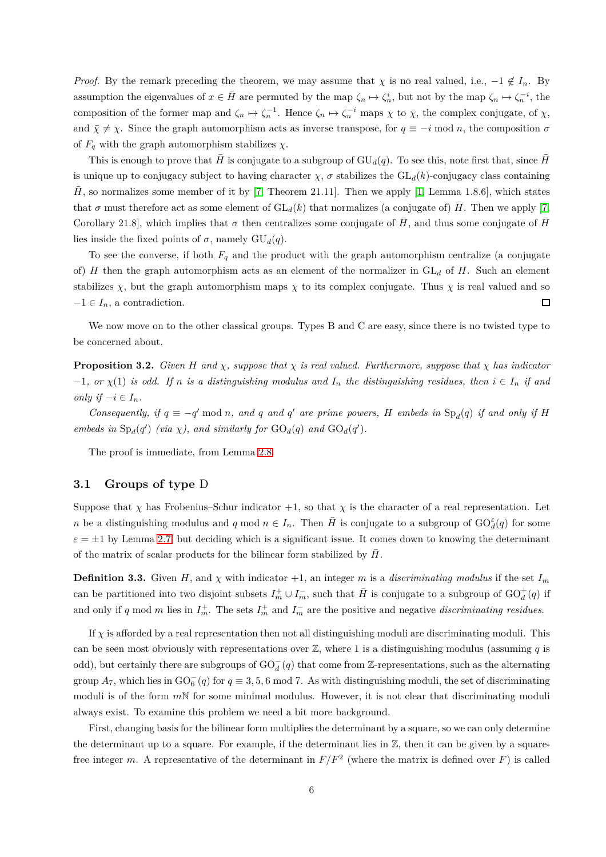*Proof.* By the remark preceding the theorem, we may assume that  $\chi$  is no real valued, i.e.,  $-1 \notin I_n$ . By assumption the eigenvalues of  $x \in \overline{H}$  are permuted by the map  $\zeta_n \mapsto \zeta_n^i$ , but not by the map  $\zeta_n \mapsto \zeta_n^{-i}$ , the composition of the former map and  $\zeta_n \mapsto \zeta_n^{-1}$ . Hence  $\zeta_n \mapsto \zeta_n^{-i}$  maps  $\chi$  to  $\bar{\chi}$ , the complex conjugate, of  $\chi$ , and  $\bar{\chi} \neq \chi$ . Since the graph automorphism acts as inverse transpose, for  $q \equiv -i \mod n$ , the composition  $\sigma$ of  $F_q$  with the graph automorphism stabilizes  $\chi$ .

This is enough to prove that  $\bar{H}$  is conjugate to a subgroup of  $GU_d(q)$ . To see this, note first that, since  $\bar{H}$ is unique up to conjugacy subject to having character  $\chi$ ,  $\sigma$  stabilizes the  $GL_d(k)$ -conjugacy class containing  $\hat{H}$ , so normalizes some member of it by [\[7,](#page-12-7) Theorem 21.11]. Then we apply [\[1,](#page-10-0) Lemma 1.8.6], which states that  $\sigma$  must therefore act as some element of  $GL_d(k)$  that normalizes (a conjugate of)  $\tilde{H}$ . Then we apply [\[7,](#page-12-7) Corollary 21.8], which implies that  $\sigma$  then centralizes some conjugate of  $\bar{H}$ , and thus some conjugate of  $\bar{H}$ lies inside the fixed points of  $\sigma$ , namely  $GU_d(q)$ .

To see the converse, if both  $F_q$  and the product with the graph automorphism centralize (a conjugate of) *H* then the graph automorphism acts as an element of the normalizer in GL*<sup>d</sup>* of *H*. Such an element stabilizes  $\chi$ , but the graph automorphism maps  $\chi$  to its complex conjugate. Thus  $\chi$  is real valued and so  $\Box$  $-1 \in I_n$ , a contradiction.

We now move on to the other classical groups. Types B and C are easy, since there is no twisted type to be concerned about.

<span id="page-5-0"></span>**Proposition 3.2.** *Given H* and  $\chi$ *, suppose that*  $\chi$  *is real valued. Furthermore, suppose that*  $\chi$  *has indicator*  $-1$ *, or*  $\chi(1)$  *is odd.* If *n is a distinguishing modulus and*  $I_n$  *the distinguishing residues, then*  $i \in I_n$  *if and only if*  $-i \in I_n$ *.* 

*Consequently, if*  $q \equiv -q' \mod n$ *, and*  $q'$  *and*  $q'$  *are prime powers,*  $H$  *embeds in*  $\text{Sp}_d(q)$  *if and only if*  $H$ *embeds in*  $Sp_d(q')$  *(via*  $\chi$ *), and similarly for*  $GO_d(q)$  *and*  $GO_d(q')$ *.* 

The proof is immediate, from Lemma [2.8.](#page-4-1)

#### **3.1 Groups of type** D

Suppose that *χ* has Frobenius–Schur indicator  $+1$ , so that *χ* is the character of a real representation. Let *n* be a distinguishing modulus and *q* mod  $n \in I_n$ . Then  $\overline{H}$  is conjugate to a subgroup of  $GO_d^{\varepsilon}(q)$  for some  $\varepsilon = \pm 1$  by Lemma [2.7,](#page-4-2) but deciding which is a significant issue. It comes down to knowing the determinant of the matrix of scalar products for the bilinear form stabilized by  $\bar{H}$ .

**Definition 3.3.** Given *H*, and  $\chi$  with indicator +1, an integer *m* is a *discriminating modulus* if the set  $I_m$ can be partitioned into two disjoint subsets  $I_m^+ \cup I_m^-$ , such that  $\bar{H}$  is conjugate to a subgroup of  $GO_d^+(q)$  if and only if *q* mod *m* lies in  $I_m^+$ . The sets  $I_m^+$  and  $I_m^-$  are the positive and negative *discriminating residues*.

If  $\chi$  is afforded by a real representation then not all distinguishing moduli are discriminating moduli. This can be seen most obviously with representations over Z, where 1 is a distinguishing modulus (assuming *q* is odd), but certainly there are subgroups of  $\mathrm{GO}_d^-(q)$  that come from Z-representations, such as the alternating group  $A_7$ , which lies in  $GO_6^-(q)$  for  $q \equiv 3, 5, 6 \mod 7$ . As with distinguishing moduli, the set of discriminating moduli is of the form *m*N for some minimal modulus. However, it is not clear that discriminating moduli always exist. To examine this problem we need a bit more background.

First, changing basis for the bilinear form multiplies the determinant by a square, so we can only determine the determinant up to a square. For example, if the determinant lies in  $\mathbb{Z}$ , then it can be given by a squarefree integer *m*. A representative of the determinant in  $F/F^2$  (where the matrix is defined over *F*) is called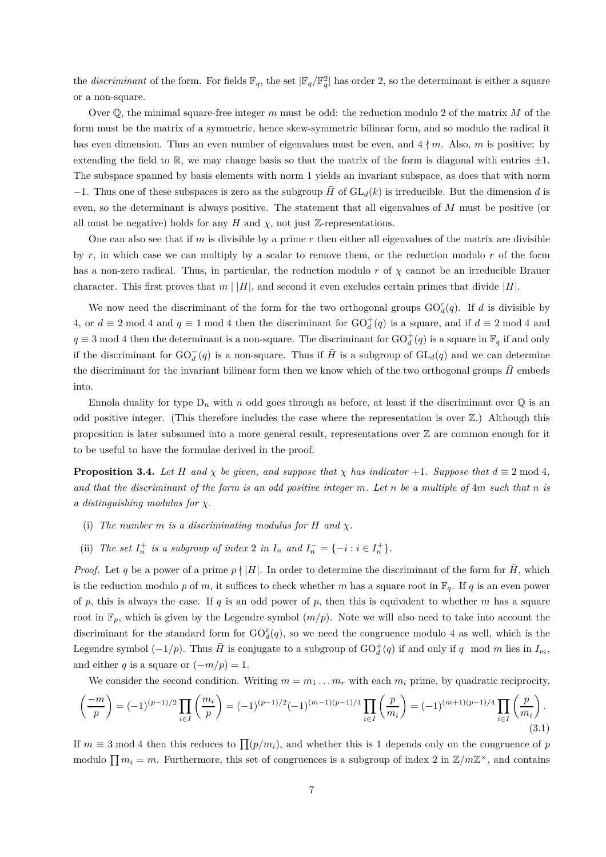the *discriminant* of the form. For fields  $\mathbb{F}_q$ , the set  $|\mathbb{F}_q/\mathbb{F}_q^2|$  has order 2, so the determinant is either a square or a non-square.

Over Q, the minimal square-free integer *m* must be odd: the reduction modulo 2 of the matrix *M* of the form must be the matrix of a symmetric, hence skew-symmetric bilinear form, and so modulo the radical it has even dimension. Thus an even number of eigenvalues must be even, and  $4\nmid m$ . Also, m is positive: by extending the field to  $\mathbb{R}$ , we may change basis so that the matrix of the form is diagonal with entries  $\pm 1$ . The subspace spanned by basis elements with norm 1 yields an invariant subspace, as does that with norm  $-1$ . Thus one of these subspaces is zero as the subgroup  $\bar{H}$  of  $GL_d(k)$  is irreducible. But the dimension *d* is even, so the determinant is always positive. The statement that all eigenvalues of *M* must be positive (or all must be negative) holds for any *H* and  $\chi$ , not just Z-representations.

One can also see that if *m* is divisible by a prime *r* then either all eigenvalues of the matrix are divisible by *r*, in which case we can multiply by a scalar to remove them, or the reduction modulo *r* of the form has a non-zero radical. Thus, in particular, the reduction modulo *r* of *χ* cannot be an irreducible Brauer character. This first proves that  $m \mid |H|$ , and second it even excludes certain primes that divide  $|H|$ .

We now need the discriminant of the form for the two orthogonal groups  $GO^{\varepsilon}_d(q)$ . If *d* is divisible by 4, or  $d \equiv 2 \mod 4$  and  $q \equiv 1 \mod 4$  then the discriminant for  $\mathrm{GO}_d^+(q)$  is a square, and if  $d \equiv 2 \mod 4$  and  $q \equiv 3 \mod 4$  then the determinant is a non-square. The discriminant for  $GO_d^+(q)$  is a square in  $\mathbb{F}_q$  if and only if the discriminant for  $GO_d^-(q)$  is a non-square. Thus if  $\overline{H}$  is a subgroup of  $GL_d(q)$  and we can determine the discriminant for the invariant bilinear form then we know which of the two orthogonal groups *H* embeds into.

Ennola duality for type  $D_n$  with *n* odd goes through as before, at least if the discriminant over  $\mathbb Q$  is an odd positive integer. (This therefore includes the case where the representation is over  $\mathbb{Z}$ .) Although this proposition is later subsumed into a more general result, representations over  $\mathbb Z$  are common enough for it to be useful to have the formulae derived in the proof.

<span id="page-6-0"></span>**Proposition 3.4.** *Let H* and  $\chi$  *be given, and suppose that*  $\chi$  *has indicator* +1*. Suppose that*  $d \equiv 2 \mod 4$ *, and that the discriminant of the form is an odd positive integer m. Let n be a multiple of* 4*m such that n is a distinguishing modulus for χ.*

- (i) The number  $m$  *is a discriminating modulus for*  $H$  *and*  $\chi$ *.*
- (ii) *The set*  $I_n^+$  *is a subgroup of index* 2 *in*  $I_n$  *and*  $I_n^- = \{-i : i \in I_n^+\}$ .

*Proof.* Let q be a power of a prime  $p \nmid |H|$ . In order to determine the discriminant of the form for  $\overline{H}$ , which is the reduction modulo p of m, it suffices to check whether m has a square root in  $\mathbb{F}_q$ . If q is an even power of *p*, this is always the case. If *q* is an odd power of *p*, then this is equivalent to whether *m* has a square root in  $\mathbb{F}_p$ , which is given by the Legendre symbol  $(m/p)$ . Note we will also need to take into account the discriminant for the standard form for  $GO^{\varepsilon}_d(q)$ , so we need the congruence modulo 4 as well, which is the Legendre symbol  $(-1/p)$ . Thus  $\overline{H}$  is conjugate to a subgroup of  $GO_d^+(q)$  if and only if  $q \mod m$  lies in  $I_m$ , and either *q* is a square or  $(-m/p) = 1$ .

We consider the second condition. Writing  $m = m_1 \ldots m_r$  with each  $m_i$  prime, by quadratic reciprocity,

$$
\left(\frac{-m}{p}\right) = (-1)^{(p-1)/2} \prod_{i \in I} \left(\frac{m_i}{p}\right) = (-1)^{(p-1)/2} (-1)^{(m-1)(p-1)/4} \prod_{i \in I} \left(\frac{p}{m_i}\right) = (-1)^{(m+1)(p-1)/4} \prod_{i \in I} \left(\frac{p}{m_i}\right).
$$
\n(3.1)

If  $m \equiv 3 \mod 4$  then this reduces to  $\prod (p/m_i)$ , and whether this is 1 depends only on the congruence of *p* modulo  $\prod m_i = m$ . Furthermore, this set of congruences is a subgroup of index 2 in  $\mathbb{Z}/m\mathbb{Z}^{\times}$ , and contains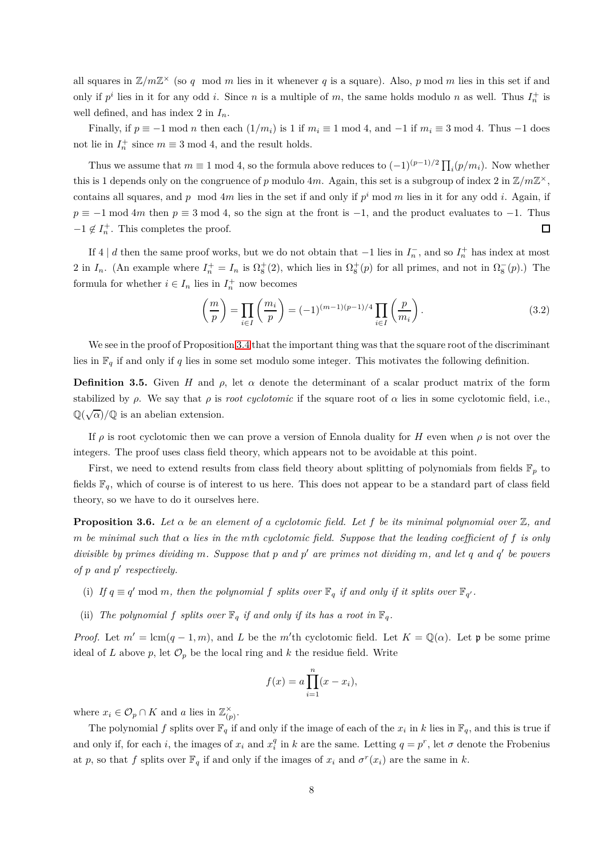all squares in  $\mathbb{Z}/m\mathbb{Z}^{\times}$  (so q mod m lies in it whenever q is a square). Also, p mod m lies in this set if and only if  $p^i$  lies in it for any odd *i*. Since *n* is a multiple of *m*, the same holds modulo *n* as well. Thus  $I_n^+$  is well defined, and has index 2 in *In*.

Finally, if  $p \equiv -1 \mod n$  then each  $(1/m_i)$  is 1 if  $m_i \equiv 1 \mod 4$ , and  $-1$  if  $m_i \equiv 3 \mod 4$ . Thus  $-1$  does not lie in  $I_n^+$  since  $m \equiv 3 \mod 4$ , and the result holds.

Thus we assume that  $m \equiv 1 \mod 4$ , so the formula above reduces to  $(-1)^{(p-1)/2} \prod_i (p/m_i)$ . Now whether this is 1 depends only on the congruence of *p* modulo 4*m*. Again, this set is a subgroup of index 2 in  $\mathbb{Z}/m\mathbb{Z}^{\times}$ , contains all squares, and  $p \mod{4m}$  lies in the set if and only if  $p^i \mod{m}$  lies in it for any odd *i*. Again, if  $p \equiv -1 \mod 4m$  then  $p \equiv 3 \mod 4$ , so the sign at the front is  $-1$ , and the product evaluates to  $-1$ . Thus  $-1 \notin I_n^+$ . This completes the proof.  $\Box$ 

If 4 | *d* then the same proof works, but we do not obtain that  $-1$  lies in  $I_n^-$ , and so  $I_n^+$  has index at most 2 in  $I_n$ . (An example where  $I_n^+ = I_n$  is  $\Omega_8^+(2)$ , which lies in  $\Omega_8^+(p)$  for all primes, and not in  $\Omega_8^-(p)$ .) The formula for whether  $i \in I_n$  lies in  $I_n^+$  now becomes

$$
\left(\frac{m}{p}\right) = \prod_{i \in I} \left(\frac{m_i}{p}\right) = (-1)^{(m-1)(p-1)/4} \prod_{i \in I} \left(\frac{p}{m_i}\right).
$$
\n(3.2)

We see in the proof of Proposition [3.4](#page-6-0) that the important thing was that the square root of the discriminant lies in  $\mathbb{F}_q$  if and only if *q* lies in some set modulo some integer. This motivates the following definition.

**Definition 3.5.** Given *H* and  $\rho$ , let  $\alpha$  denote the determinant of a scalar product matrix of the form stabilized by *ρ*. We say that *ρ* is *root cyclotomic* if the square root of  $\alpha$  lies in some cyclotomic field, i.e.,  $\mathbb{Q}(\sqrt{\alpha})/\mathbb{Q}$  is an abelian extension.

If  $\rho$  is root cyclotomic then we can prove a version of Ennola duality for *H* even when  $\rho$  is not over the integers. The proof uses class field theory, which appears not to be avoidable at this point.

First, we need to extend results from class field theory about splitting of polynomials from fields  $\mathbb{F}_p$  to fields  $\mathbb{F}_q$ , which of course is of interest to us here. This does not appear to be a standard part of class field theory, so we have to do it ourselves here.

<span id="page-7-0"></span>**Proposition 3.6.** Let  $\alpha$  be an element of a cyclotomic field. Let f be its minimal polynomial over  $\mathbb{Z}$ , and *m* be minimal such that  $\alpha$  lies in the mth cyclotomic field. Suppose that the leading coefficient of f is only *divisible by primes dividing m. Suppose that p and p* ′ *are primes not dividing m, and let q and q* ′ *be powers of p and p* ′ *respectively.*

- (i) If  $q \equiv q' \mod m$ , then the polynomial f splits over  $\mathbb{F}_q$  if and only if it splits over  $\mathbb{F}_{q'}$ .
- (ii) *The polynomial*  $f$  *splits over*  $\mathbb{F}_q$  *if and only if its has a root in*  $\mathbb{F}_q$ *.*

*Proof.* Let  $m' = \text{lcm}(q-1,m)$ , and *L* be the *m*'th cyclotomic field. Let  $K = \mathbb{Q}(\alpha)$ . Let **p** be some prime ideal of *L* above  $p$ , let  $\mathcal{O}_p$  be the local ring and  $k$  the residue field. Write

$$
f(x) = a \prod_{i=1}^{n} (x - x_i),
$$

where  $x_i \in \mathcal{O}_p \cap K$  and *a* lies in  $\mathbb{Z}_{(p)}^{\times}$  $\frac{\times}{(p)}$ .

The polynomial f splits over  $\mathbb{F}_q$  if and only if the image of each of the  $x_i$  in k lies in  $\mathbb{F}_q$ , and this is true if and only if, for each *i*, the images of  $x_i$  and  $x_i^q$  in  $k$  are the same. Letting  $q = p^r$ , let  $\sigma$  denote the Frobenius at *p*, so that *f* splits over  $\mathbb{F}_q$  if and only if the images of  $x_i$  and  $\sigma^r(x_i)$  are the same in *k*.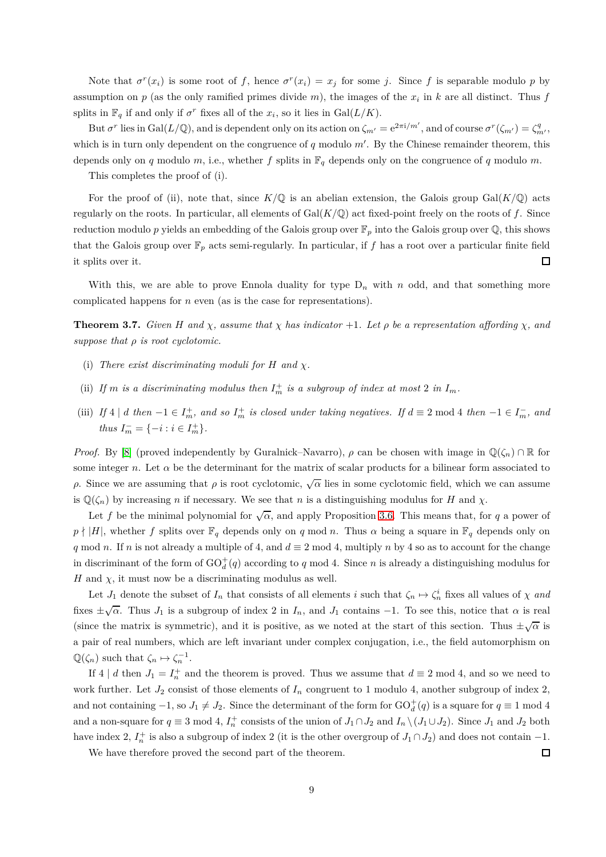Note that  $\sigma^r(x_i)$  is some root of f, hence  $\sigma^r(x_i) = x_j$  for some j. Since f is separable modulo p by assumption on  $p$  (as the only ramified primes divide  $m$ ), the images of the  $x_i$  in  $k$  are all distinct. Thus  $f$ splits in  $\mathbb{F}_q$  if and only if  $\sigma^r$  fixes all of the  $x_i$ , so it lies in  $Gal(L/K)$ .

But  $\sigma^r$  lies in Gal( $L/\mathbb{Q}$ ), and is dependent only on its action on  $\zeta_{m'} = e^{2\pi i/m'}$ , and of course  $\sigma^r(\zeta_{m'}) = \zeta_{m'}^q$ , which is in turn only dependent on the congruence of *q* modulo *m*′ . By the Chinese remainder theorem, this depends only on *q* modulo *m*, i.e., whether *f* splits in  $\mathbb{F}_q$  depends only on the congruence of *q* modulo *m*.

This completes the proof of (i).

For the proof of (ii), note that, since  $K/\mathbb{Q}$  is an abelian extension, the Galois group Gal( $K/\mathbb{Q}$ ) acts regularly on the roots. In particular, all elements of  $Gal(K/\mathbb{Q})$  act fixed-point freely on the roots of  $f$ . Since reduction modulo p yields an embedding of the Galois group over  $\mathbb{F}_p$  into the Galois group over  $\mathbb{Q}$ , this shows that the Galois group over  $\mathbb{F}_p$  acts semi-regularly. In particular, if f has a root over a particular finite field it splits over it.  $\Box$ 

With this, we are able to prove Ennola duality for type  $D_n$  with *n* odd, and that something more complicated happens for *n* even (as is the case for representations).

<span id="page-8-0"></span>**Theorem 3.7.** *Given H* and  $\chi$ *, assume that*  $\chi$  *has indicator* +1*. Let*  $\rho$  *be a representation affording*  $\chi$ *, and suppose that ρ is root cyclotomic.*

- (i) *There exist discriminating moduli for H and χ.*
- (ii) If *m* is a discriminating modulus then  $I_m^+$  is a subgroup of index at most 2 in  $I_m$ .
- (iii) If  $4 \mid d$  then  $-1 \in I_m^+$ , and so  $I_m^+$  is closed under taking negatives. If  $d \equiv 2 \mod 4$  then  $-1 \in I_m^-$ , and *thus*  $I_m^- = \{-i : i \in I_m^+\}.$

*Proof.* By [\[8\]](#page-12-8) (proved independently by Guralnick–Navarro),  $\rho$  can be chosen with image in  $\mathbb{Q}(\zeta_n) \cap \mathbb{R}$  for some integer *n*. Let  $\alpha$  be the determinant for the matrix of scalar products for a bilinear form associated to *ρ*. Since we are assuming that *ρ* is root cyclotomic,  $\sqrt{\alpha}$  lies in some cyclotomic field, which we can assume is  $\mathbb{Q}(\zeta_n)$  by increasing *n* if necessary. We see that *n* is a distinguishing modulus for *H* and *χ*.

Let f be the minimal polynomial for  $\sqrt{\alpha}$ , and apply Proposition [3.6.](#page-7-0) This means that, for q a power of  $p \nmid |H|$ , whether *f* splits over  $\mathbb{F}_q$  depends only on *q* mod *n*. Thus  $\alpha$  being a square in  $\mathbb{F}_q$  depends only on *q* mod *n*. If *n* is not already a multiple of 4, and  $d \equiv 2 \mod 4$ , multiply *n* by 4 so as to account for the change in discriminant of the form of  $GO_d^+(q)$  according to  $q \mod 4$ . Since  $n$  is already a distinguishing modulus for *H* and  $\chi$ , it must now be a discriminating modulus as well.

Let *J*<sub>1</sub> denote the subset of *I<sub>n</sub>* that consists of all elements *i* such that  $\zeta_n \mapsto \zeta_n^i$  fixes all values of  $\chi$  *and* fixes  $\pm\sqrt{\alpha}$ . Thus  $J_1$  is a subgroup of index 2 in  $I_n$ , and  $J_1$  contains  $-1$ . To see this, notice that  $\alpha$  is real (since the matrix is symmetric), and it is positive, as we noted at the start of this section. Thus  $\pm\sqrt{\alpha}$  is a pair of real numbers, which are left invariant under complex conjugation, i.e., the field automorphism on  $\mathbb{Q}(\zeta_n)$  such that  $\zeta_n \mapsto \zeta_n^{-1}$ .

If 4 | *d* then  $J_1 = I_n^+$  and the theorem is proved. Thus we assume that  $d \equiv 2 \mod 4$ , and so we need to work further. Let  $J_2$  consist of those elements of  $I_n$  congruent to 1 modulo 4, another subgroup of index 2, and not containing  $-1$ , so  $J_1 \neq J_2$ . Since the determinant of the form for  $GO_d^+(q)$  is a square for  $q \equiv 1 \mod 4$ and a non-square for  $q \equiv 3 \mod 4$ ,  $I_n^+$  consists of the union of  $J_1 \cap J_2$  and  $I_n \setminus (J_1 \cup J_2)$ . Since  $J_1$  and  $J_2$  both have index 2,  $I_n^+$  is also a subgroup of index 2 (it is the other overgroup of  $J_1 \cap J_2$ ) and does not contain  $-1$ .

We have therefore proved the second part of the theorem.

 $\Box$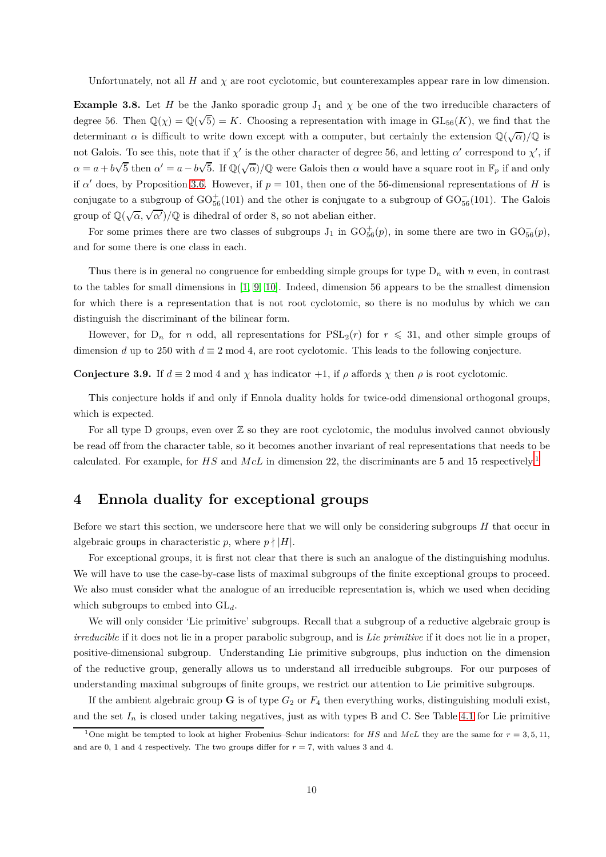Unfortunately, not all  $H$  and  $\chi$  are root cyclotomic, but counterexamples appear rare in low dimension.

**Example 3.8.** Let *H* be the Janko sporadic group  $J_1$  and  $\chi$  be one of the two irreducible characters of degree 56. Then  $\mathbb{Q}(\chi) = \mathbb{Q}(\sqrt{5}) = K$ . Choosing a representation with image in  $GL_{56}(K)$ , we find that the determinant  $\alpha$  is difficult to write down except with a computer, but certainly the extension  $\mathbb{Q}(\sqrt{\alpha})/\mathbb{Q}$  is not Galois. To see this, note that if  $\chi'$  is the other character of degree 56, and letting  $\alpha'$  correspond to  $\chi'$ , if  $\alpha = a + b\sqrt{5}$  then  $\alpha' = a - b\sqrt{5}$ . If  $\mathbb{Q}(\sqrt{\alpha})/\mathbb{Q}$  were Galois then  $\alpha$  would have a square root in  $\mathbb{F}_p$  if and only if  $\alpha'$  does, by Proposition [3.6.](#page-7-0) However, if  $p = 101$ , then one of the 56-dimensional representations of *H* is conjugate to a subgroup of  $\rm GO_{56}^+(101)$  and the other is conjugate to a subgroup of  $\rm GO_{56}^-(101)$ . The Galois group of  $\mathbb{Q}(\sqrt{\alpha}, \sqrt{\alpha'})/\mathbb{Q}$  is dihedral of order 8, so not abelian either.

For some primes there are two classes of subgroups  $J_1$  in  $GO_{56}^+(p)$ , in some there are two in  $GO_{56}^-(p)$ , and for some there is one class in each.

Thus there is in general no congruence for embedding simple groups for type  $D_n$  with  $n$  even, in contrast to the tables for small dimensions in [\[1,](#page-10-0) [9,](#page-12-3) [10\]](#page-12-4). Indeed, dimension 56 appears to be the smallest dimension for which there is a representation that is not root cyclotomic, so there is no modulus by which we can distinguish the discriminant of the bilinear form.

However, for  $D_n$  for *n* odd, all representations for  $PSL_2(r)$  for  $r \leq 31$ , and other simple groups of dimension *d* up to 250 with  $d \equiv 2 \mod 4$ , are root cyclotomic. This leads to the following conjecture.

<span id="page-9-0"></span>**Conjecture 3.9.** If  $d \equiv 2 \mod 4$  and  $\chi$  has indicator +1, if  $\rho$  affords  $\chi$  then  $\rho$  is root cyclotomic.

This conjecture holds if and only if Ennola duality holds for twice-odd dimensional orthogonal groups, which is expected.

For all type D groups, even over  $\mathbb Z$  so they are root cyclotomic, the modulus involved cannot obviously be read off from the character table, so it becomes another invariant of real representations that needs to be calculated. For example, for HS and McL in dimension 22, the discriminants are 5 and [1](#page-9-2)5 respectively.<sup>1</sup>

### <span id="page-9-1"></span>**4 Ennola duality for exceptional groups**

Before we start this section, we underscore here that we will only be considering subgroups *H* that occur in algebraic groups in characteristic *p*, where  $p \nmid |H|$ .

For exceptional groups, it is first not clear that there is such an analogue of the distinguishing modulus. We will have to use the case-by-case lists of maximal subgroups of the finite exceptional groups to proceed. We also must consider what the analogue of an irreducible representation is, which we used when deciding which subgroups to embed into GL*d*.

We will only consider 'Lie primitive' subgroups. Recall that a subgroup of a reductive algebraic group is *irreducible* if it does not lie in a proper parabolic subgroup, and is *Lie primitive* if it does not lie in a proper, positive-dimensional subgroup. Understanding Lie primitive subgroups, plus induction on the dimension of the reductive group, generally allows us to understand all irreducible subgroups. For our purposes of understanding maximal subgroups of finite groups, we restrict our attention to Lie primitive subgroups.

If the ambient algebraic group **G** is of type  $G_2$  or  $F_4$  then everything works, distinguishing moduli exist, and the set  $I_n$  is closed under taking negatives, just as with types B and C. See Table [4.1](#page-10-1) for Lie primitive

<span id="page-9-2"></span><sup>&</sup>lt;sup>1</sup>One might be tempted to look at higher Frobenius–Schur indicators: for *HS* and *McL* they are the same for  $r = 3, 5, 11$ . and are 0, 1 and 4 respectively. The two groups differ for  $r = 7$ , with values 3 and 4.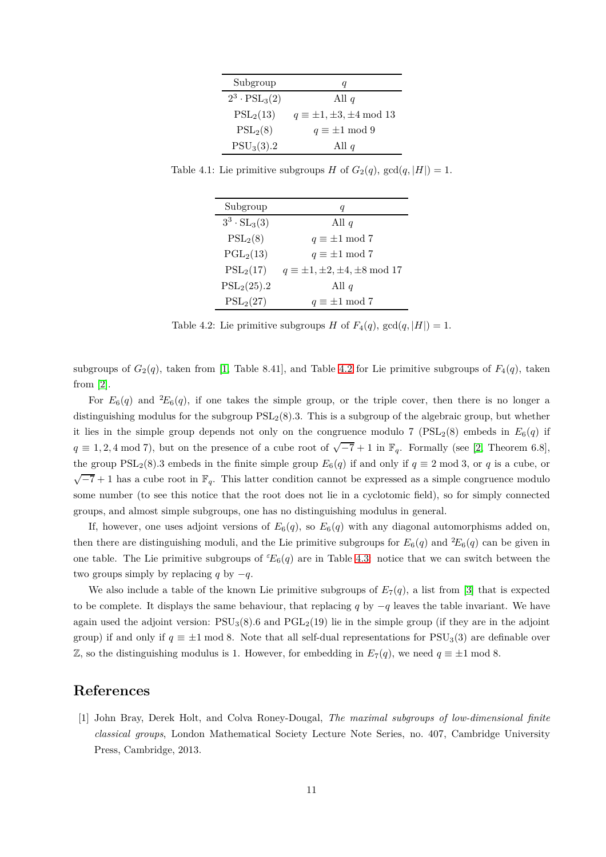| Subgroup                    | Ч                                      |
|-----------------------------|----------------------------------------|
| $2^3 \cdot \text{PSL}_3(2)$ | All $q$                                |
| $PSL_2(13)$                 | $q \equiv \pm 1, \pm 3, \pm 4 \mod 13$ |
| $PSL_2(8)$                  | $q \equiv \pm 1 \mod 9$                |
| $PSU_3(3).2$                | All $q$                                |

Table 4.1: Lie primitive subgroups *H* of  $G_2(q)$ ,  $gcd(q, |H|) = 1$ .

<span id="page-10-1"></span>

| Subgroup              |                                               |
|-----------------------|-----------------------------------------------|
| $3^3 \cdot SL_3(3)$   | All $q$                                       |
| $PSL_2(8)$            | $q \equiv \pm 1 \mod 7$                       |
| PGL <sub>2</sub> (13) | $q \equiv \pm 1 \mod 7$                       |
| $PSL_2(17)$           | $q \equiv \pm 1, \pm 2, \pm 4, \pm 8 \mod 17$ |
| $PSL_2(25).2$         | All $q$                                       |
| $PSL_2(27)$           | $q \equiv \pm 1 \mod 7$                       |

<span id="page-10-2"></span>Table 4.2: Lie primitive subgroups *H* of  $F_4(q)$ ,  $gcd(q, |H|) = 1$ .

subgroups of  $G_2(q)$ , taken from [\[1,](#page-10-0) Table 8.41], and Table [4.2](#page-10-2) for Lie primitive subgroups of  $F_4(q)$ , taken from [\[2\]](#page-12-9).

For  $E_6(q)$  and  ${}^2E_6(q)$ , if one takes the simple group, or the triple cover, then there is no longer a distinguishing modulus for the subgroup PSL2(8)*.*3. This is a subgroup of the algebraic group, but whether it lies in the simple group depends not only on the congruence modulo 7 ( $PSL<sub>2</sub>(8)$ ) embeds in  $E<sub>6</sub>(q)$  if  $q \equiv 1, 2, 4 \mod 7$ , but on the presence of a cube root of  $\sqrt{-7} + 1$  in  $\mathbb{F}_q$ . Formally (see [\[2,](#page-12-9) Theorem 6.8], the group  $PSL_2(8)$ .3 embeds in the finite simple group  $E_6(q)$  if and only if  $q \equiv 2 \mod 3$ , or q is a cube, or  $\sqrt{-7}+1$  has a cube root in  $\mathbb{F}_q$ . This latter condition cannot be expressed as a simple congruence modulo some number (to see this notice that the root does not lie in a cyclotomic field), so for simply connected groups, and almost simple subgroups, one has no distinguishing modulus in general.

If, however, one uses adjoint versions of  $E_6(q)$ , so  $E_6(q)$  with any diagonal automorphisms added on, then there are distinguishing moduli, and the Lie primitive subgroups for  $E_6(q)$  and  ${}^2E_6(q)$  can be given in one table. The Lie primitive subgroups of  ${}^{\epsilon}E_6(q)$  are in Table [4.3:](#page-11-1) notice that we can switch between the two groups simply by replacing *q* by  $-q$ .

We also include a table of the known Lie primitive subgroups of  $E_7(q)$ , a list from [\[3\]](#page-12-2) that is expected to be complete. It displays the same behaviour, that replacing *q* by −*q* leaves the table invariant. We have again used the adjoint version:  $PSU<sub>3</sub>(8)$ *.6* and  $PGL<sub>2</sub>(19)$  lie in the simple group (if they are in the adjoint group) if and only if  $q \equiv \pm 1 \mod 8$ . Note that all self-dual representations for PSU<sub>3</sub>(3) are definable over  $\mathbb{Z}$ , so the distinguishing modulus is 1. However, for embedding in  $E_7(q)$ , we need  $q \equiv \pm 1 \mod 8$ .

## <span id="page-10-0"></span>**References**

[1] John Bray, Derek Holt, and Colva Roney-Dougal, *The maximal subgroups of low-dimensional finite classical groups*, London Mathematical Society Lecture Note Series, no. 407, Cambridge University Press, Cambridge, 2013.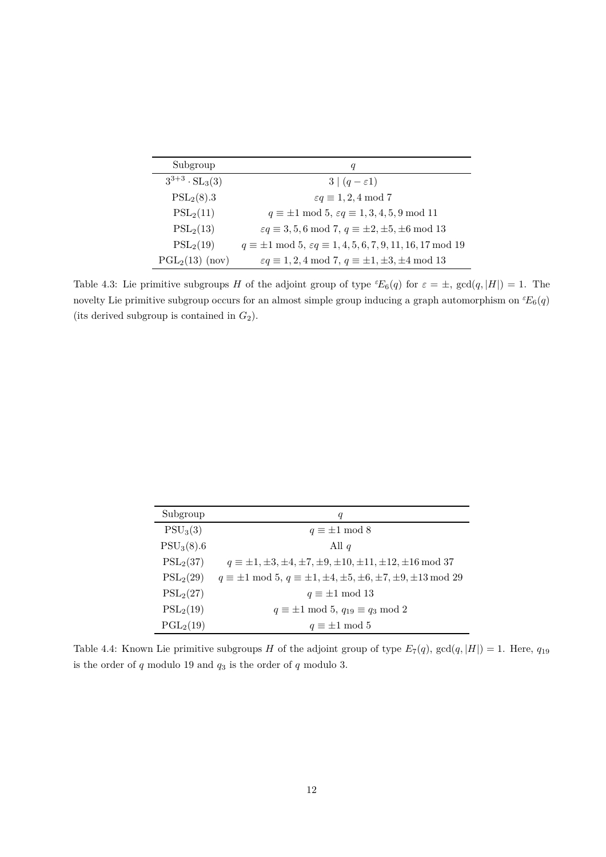| Subgroup                | q                                                                                     |
|-------------------------|---------------------------------------------------------------------------------------|
| $3^{3+3} \cdot SL_3(3)$ | $3 (q-\varepsilon 1)$                                                                 |
| $PSL_2(8).3$            | $\varepsilon q \equiv 1, 2, 4 \mod 7$                                                 |
| $PSL_2(11)$             | $q \equiv \pm 1 \mod 5$ , $\varepsilon q \equiv 1, 3, 4, 5, 9 \mod 11$                |
| $PSL_2(13)$             | $\varepsilon q \equiv 3, 5, 6 \mod 7, q \equiv \pm 2, \pm 5, \pm 6 \mod 13$           |
| $PSL_2(19)$             | $q \equiv \pm 1 \mod 5$ , $\varepsilon q \equiv 1, 4, 5, 6, 7, 9, 11, 16, 17 \mod 19$ |
| $PGL2(13)$ (nov)        | $\varepsilon q \equiv 1, 2, 4 \mod 7, q \equiv \pm 1, \pm 3, \pm 4 \mod 13$           |

<span id="page-11-1"></span>Table 4.3: Lie primitive subgroups *H* of the adjoint group of type  ${}^{\varepsilon}E_6(q)$  for  $\varepsilon = \pm$ ,  $gcd(q, |H|) = 1$ . The novelty Lie primitive subgroup occurs for an almost simple group inducing a graph automorphism on  ${}^{\varepsilon}E_6(q)$ (its derived subgroup is contained in *G*2).

| Subgroup              | q                                                                                             |
|-----------------------|-----------------------------------------------------------------------------------------------|
| PSU <sub>3</sub> (3)  | $q \equiv \pm 1 \mod 8$                                                                       |
| $PSU_3(8).6$          | All $q$                                                                                       |
| $PSL_2(37)$           | $q \equiv \pm 1, \pm 3, \pm 4, \pm 7, \pm 9, \pm 10, \pm 11, \pm 12, \pm 16 \mod 37$          |
| $PSL_2(29)$           | $q \equiv \pm 1 \mod 5$ , $q \equiv \pm 1, \pm 4, \pm 5, \pm 6, \pm 7, \pm 9, \pm 13 \mod 29$ |
| $PSL_2(27)$           | $q \equiv \pm 1 \mod 13$                                                                      |
| $PSL_2(19)$           | $q \equiv \pm 1 \mod 5, q_{19} \equiv q_3 \mod 2$                                             |
| PGL <sub>2</sub> (19) | $q \equiv \pm 1 \mod 5$                                                                       |

<span id="page-11-0"></span>Table 4.4: Known Lie primitive subgroups *H* of the adjoint group of type  $E_7(q)$ ,  $gcd(q, |H|) = 1$ . Here,  $q_{19}$ is the order of  $q$  modulo 19 and  $q_3$  is the order of  $q$  modulo 3.